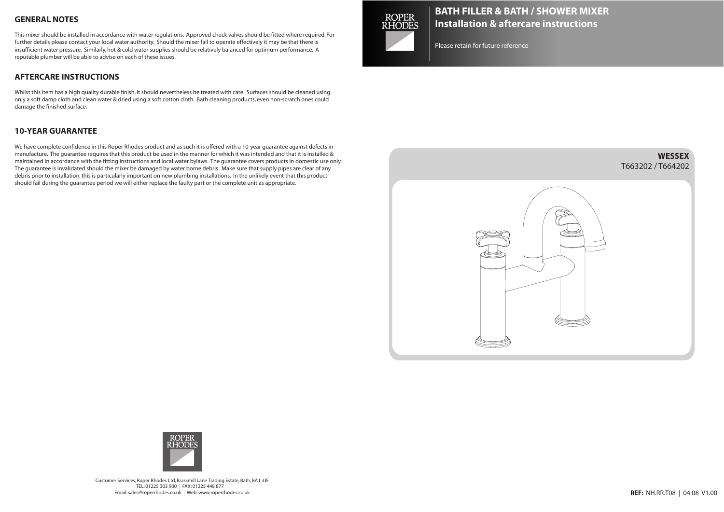### **GENERAL NOTES**

This mixer should be installed in accordance with water regulations. Approved check valves should be fitted where required. For further details please contact your local water authority. Should the mixer fail to operate effectively it may be that there is insufficient water pressure. Similarly, hot & cold water supplies should be relatively balanced for optimum performance. A reputable plumber will be able to advise on each of these issues.

### **AFTERCARE INSTRUCTIONS**

Whilst this item has a high quality durable finish, it should nevertheless be treated with care. Surfaces should be cleaned using only a soft damp cloth and clean water & dried using a soft cotton cloth. Bath cleaning products, even non-scratch ones could damage the finished surface.

#### **10-YEAR GUARANTEE**

We have complete confidence in this Roper Rhodes product and as such it is offered with a 10-year guarantee against defects in manufacture. The guarantee requires that this product be used in the manner for which it was intended and that it is installed & maintained in accordance with the fitting instructions and local water bylaws. The guarantee covers products in domestic use only. The guarantee is invalidated should the mixer be damaged by water borne debris. Make sure that supply pipes are clear of any debris prior to installation,this is particularly important on new plumbing installations. In the unlikely event that this product should fail during the guarantee period we will either replace the faulty part or the complete unit as appropriate.



# **BATH FILLER & BATH / SHOWER MIXER Installation & aftercare instructions**

Please retain for future reference





Customer Services, Roper Rhodes Ltd, Brassmill Lane Trading Estate, Bath, BA1 3JF TEL: 01225 303 900 | FAX: 01225 448 877 Email:sales@roperrhodes.co.uk | Web:www.roperrhodes.co.uk